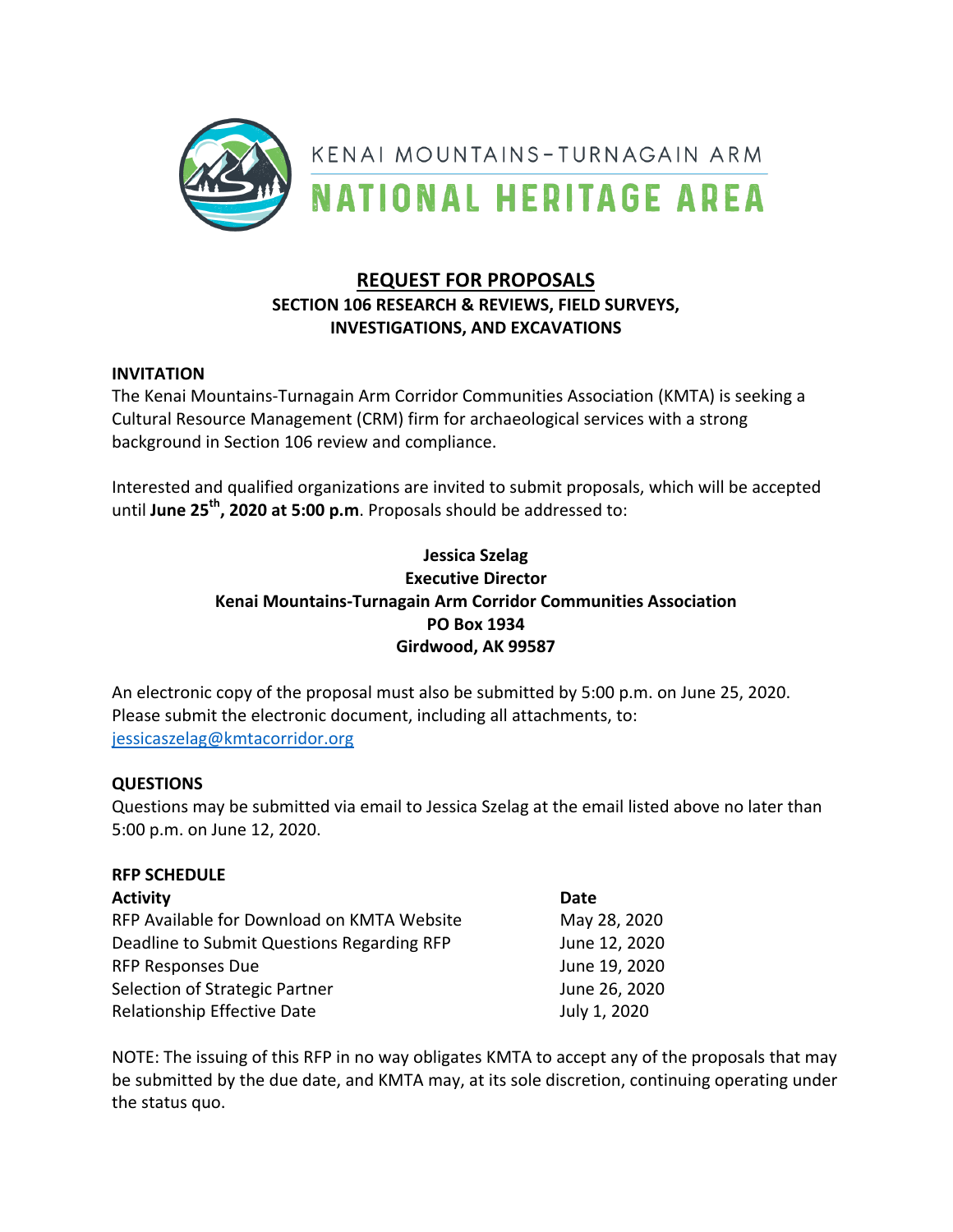

# **REQUEST FOR PROPOSALS SECTION 106 RESEARCH & REVIEWS, FIELD SURVEYS, INVESTIGATIONS, AND EXCAVATIONS**

## **INVITATION**

The Kenai Mountains-Turnagain Arm Corridor Communities Association (KMTA) is seeking a Cultural Resource Management (CRM) firm for archaeological services with a strong background in Section 106 review and compliance.

Interested and qualified organizations are invited to submit proposals, which will be accepted until June 25<sup>th</sup>, 2020 at 5:00 p.m. Proposals should be addressed to:

## **Jessica Szelag Executive Director Kenai Mountains-Turnagain Arm Corridor Communities Association PO Box 1934 Girdwood, AK 99587**

An electronic copy of the proposal must also be submitted by 5:00 p.m. on June 25, 2020. Please submit the electronic document, including all attachments, to: jessicaszelag@kmtacorridor.org

### **QUESTIONS**

Questions may be submitted via email to Jessica Szelag at the email listed above no later than 5:00 p.m. on June 12, 2020.

### **RFP SCHEDULE**

| <b>Activity</b>                            | Date          |
|--------------------------------------------|---------------|
| RFP Available for Download on KMTA Website | May 28, 2020  |
| Deadline to Submit Questions Regarding RFP | June 12, 2020 |
| <b>RFP Responses Due</b>                   | June 19, 2020 |
| Selection of Strategic Partner             | June 26, 2020 |
| Relationship Effective Date                | July 1, 2020  |

NOTE: The issuing of this RFP in no way obligates KMTA to accept any of the proposals that may be submitted by the due date, and KMTA may, at its sole discretion, continuing operating under the status quo.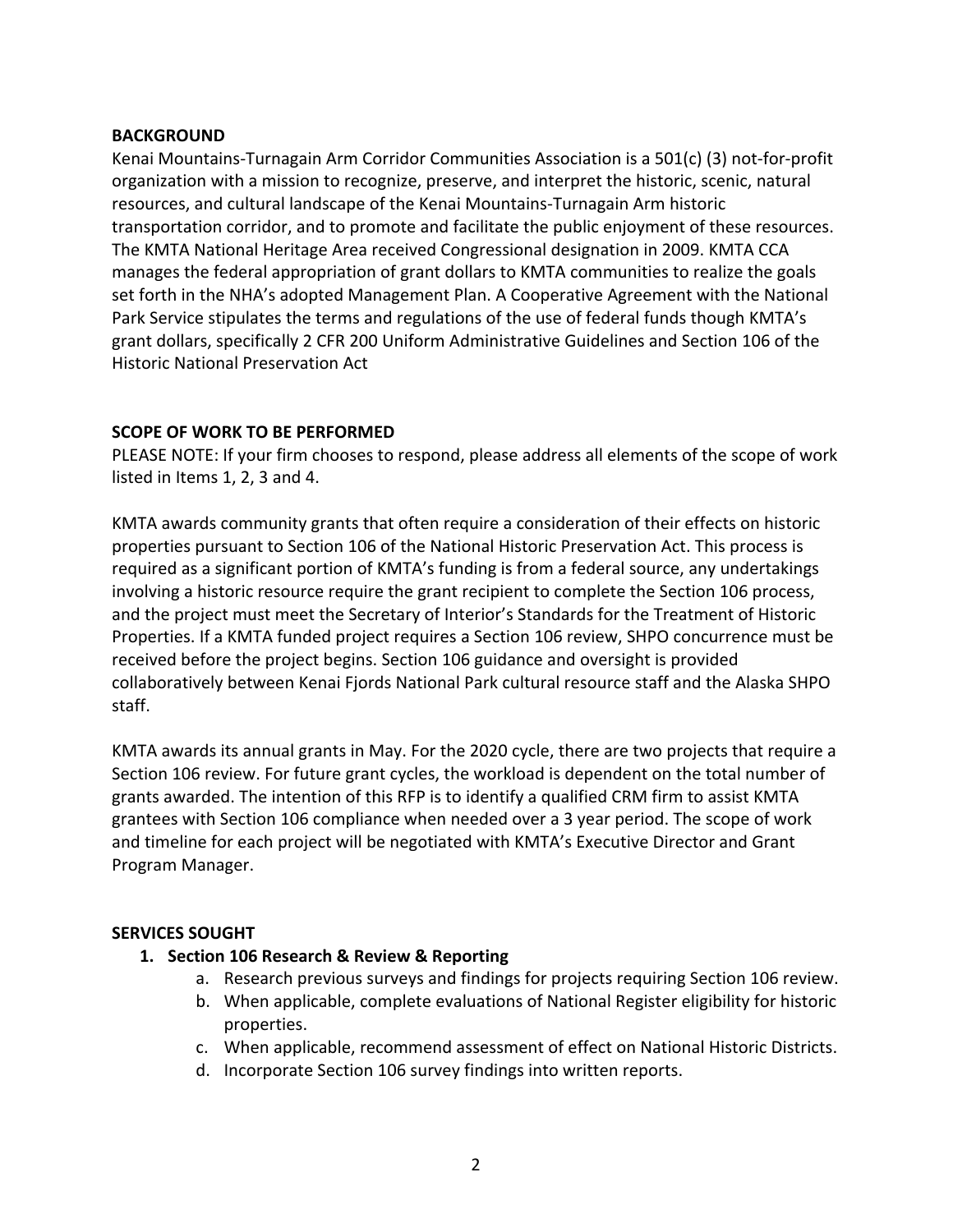### **BACKGROUND**

Kenai Mountains-Turnagain Arm Corridor Communities Association is a  $501(c)$  (3) not-for-profit organization with a mission to recognize, preserve, and interpret the historic, scenic, natural resources, and cultural landscape of the Kenai Mountains-Turnagain Arm historic transportation corridor, and to promote and facilitate the public enjoyment of these resources. The KMTA National Heritage Area received Congressional designation in 2009. KMTA CCA manages the federal appropriation of grant dollars to KMTA communities to realize the goals set forth in the NHA's adopted Management Plan. A Cooperative Agreement with the National Park Service stipulates the terms and regulations of the use of federal funds though KMTA's grant dollars, specifically 2 CFR 200 Uniform Administrative Guidelines and Section 106 of the Historic National Preservation Act

## **SCOPE OF WORK TO BE PERFORMED**

PLEASE NOTE: If your firm chooses to respond, please address all elements of the scope of work listed in Items 1, 2, 3 and 4.

KMTA awards community grants that often require a consideration of their effects on historic properties pursuant to Section 106 of the National Historic Preservation Act. This process is required as a significant portion of KMTA's funding is from a federal source, any undertakings involving a historic resource require the grant recipient to complete the Section 106 process, and the project must meet the Secretary of Interior's Standards for the Treatment of Historic Properties. If a KMTA funded project requires a Section 106 review, SHPO concurrence must be received before the project begins. Section 106 guidance and oversight is provided collaboratively between Kenai Fjords National Park cultural resource staff and the Alaska SHPO staff.

KMTA awards its annual grants in May. For the 2020 cycle, there are two projects that require a Section 106 review. For future grant cycles, the workload is dependent on the total number of grants awarded. The intention of this RFP is to identify a qualified CRM firm to assist KMTA grantees with Section 106 compliance when needed over a 3 year period. The scope of work and timeline for each project will be negotiated with KMTA's Executive Director and Grant Program Manager.

### **SERVICES SOUGHT**

- **1. Section 106 Research & Review & Reporting**
	- a. Research previous surveys and findings for projects requiring Section 106 review.
	- b. When applicable, complete evaluations of National Register eligibility for historic properties.
	- c. When applicable, recommend assessment of effect on National Historic Districts.
	- d. Incorporate Section 106 survey findings into written reports.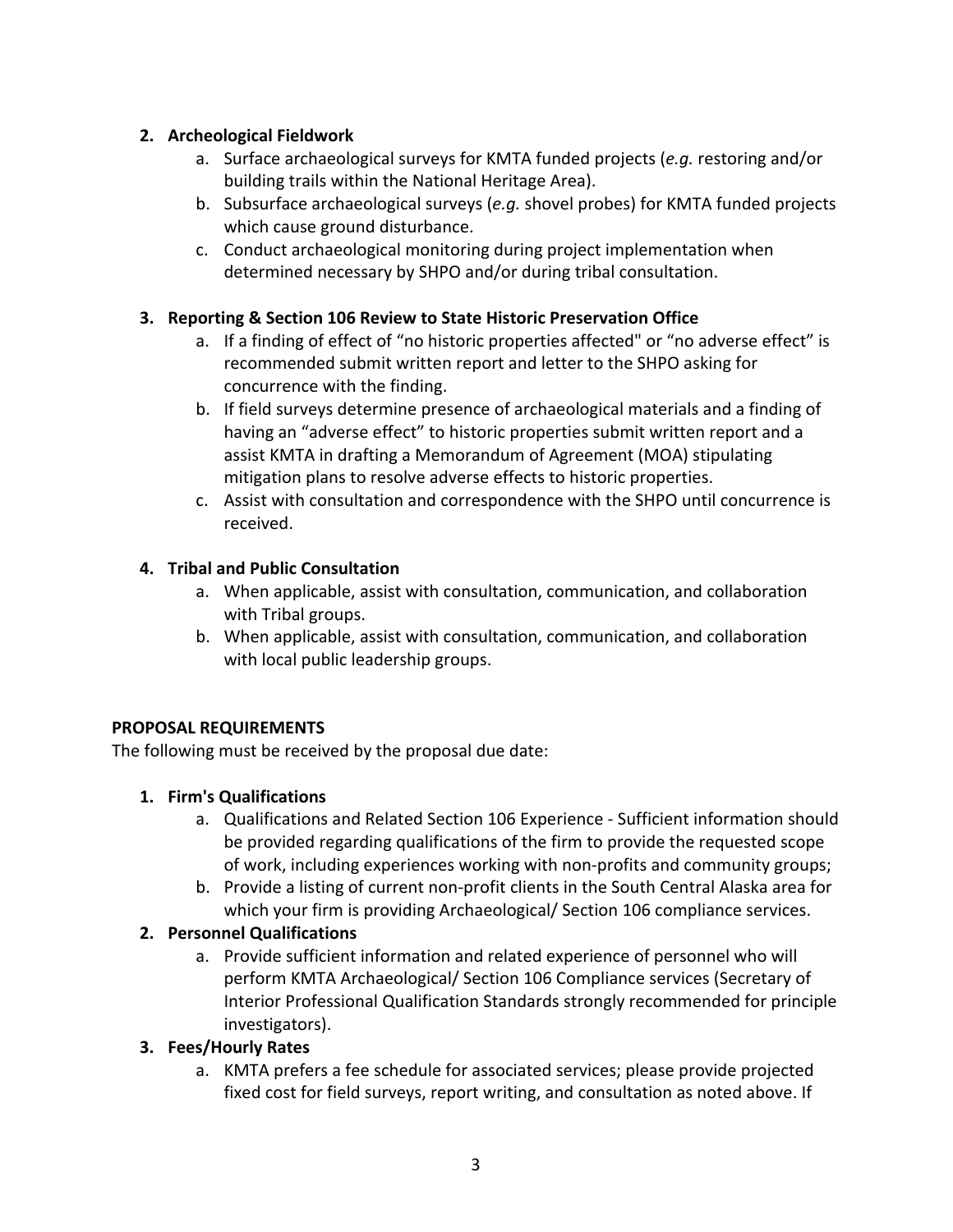## **2. Archeological Fieldwork**

- a. Surface archaeological surveys for KMTA funded projects (*e.g.* restoring and/or building trails within the National Heritage Area).
- b. Subsurface archaeological surveys (e.g. shovel probes) for KMTA funded projects which cause ground disturbance.
- c. Conduct archaeological monitoring during project implementation when determined necessary by SHPO and/or during tribal consultation.

## **3. Reporting & Section 106 Review to State Historic Preservation Office**

- a. If a finding of effect of "no historic properties affected" or "no adverse effect" is recommended submit written report and letter to the SHPO asking for concurrence with the finding.
- b. If field surveys determine presence of archaeological materials and a finding of having an "adverse effect" to historic properties submit written report and a assist KMTA in drafting a Memorandum of Agreement (MOA) stipulating mitigation plans to resolve adverse effects to historic properties.
- c. Assist with consultation and correspondence with the SHPO until concurrence is received.

## **4. Tribal and Public Consultation**

- a. When applicable, assist with consultation, communication, and collaboration with Tribal groups.
- b. When applicable, assist with consultation, communication, and collaboration with local public leadership groups.

# **PROPOSAL REQUIREMENTS**

The following must be received by the proposal due date:

## **1. Firm's Qualifications**

- a. Qualifications and Related Section 106 Experience Sufficient information should be provided regarding qualifications of the firm to provide the requested scope of work, including experiences working with non-profits and community groups;
- b. Provide a listing of current non-profit clients in the South Central Alaska area for which your firm is providing Archaeological/ Section 106 compliance services.

## **2. Personnel Qualifications**

a. Provide sufficient information and related experience of personnel who will perform KMTA Archaeological/ Section 106 Compliance services (Secretary of Interior Professional Qualification Standards strongly recommended for principle investigators).

## **3. Fees/Hourly Rates**

a. KMTA prefers a fee schedule for associated services; please provide projected fixed cost for field surveys, report writing, and consultation as noted above. If